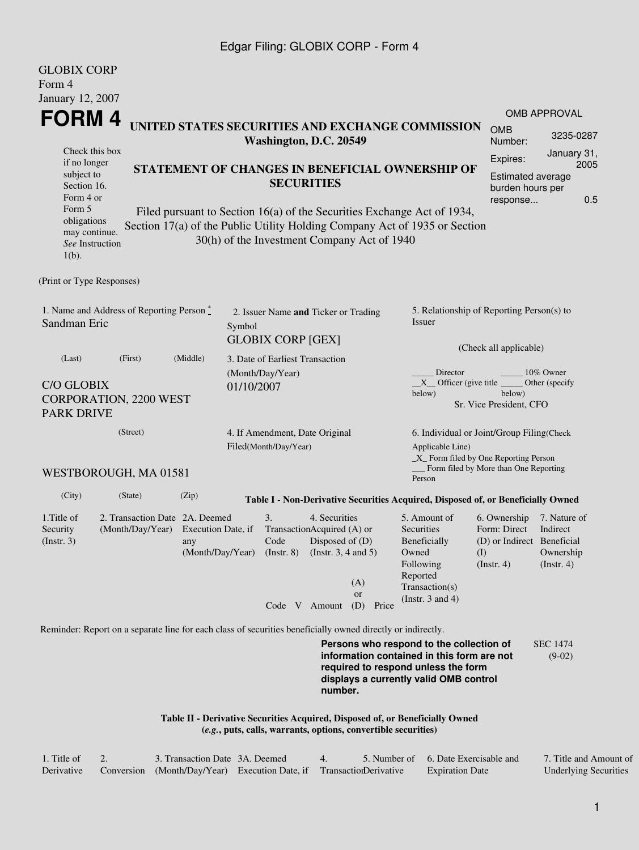#### Edgar Filing: GLOBIX CORP - Form 4

| <b>GLOBIX CORP</b>                                                                                                                                                                                                                                                  |                                                                                      |          |                                                             |                                                               |                     |           |                                                                                                                                                                         |                                                                                                                 |                                                                  |  |  |
|---------------------------------------------------------------------------------------------------------------------------------------------------------------------------------------------------------------------------------------------------------------------|--------------------------------------------------------------------------------------|----------|-------------------------------------------------------------|---------------------------------------------------------------|---------------------|-----------|-------------------------------------------------------------------------------------------------------------------------------------------------------------------------|-----------------------------------------------------------------------------------------------------------------|------------------------------------------------------------------|--|--|
| Form 4<br>January 12, 2007                                                                                                                                                                                                                                          |                                                                                      |          |                                                             |                                                               |                     |           |                                                                                                                                                                         |                                                                                                                 |                                                                  |  |  |
|                                                                                                                                                                                                                                                                     |                                                                                      |          |                                                             |                                                               |                     |           |                                                                                                                                                                         |                                                                                                                 | <b>OMB APPROVAL</b>                                              |  |  |
| <b>FORM4</b><br>UNITED STATES SECURITIES AND EXCHANGE COMMISSION                                                                                                                                                                                                    |                                                                                      |          |                                                             |                                                               |                     |           |                                                                                                                                                                         |                                                                                                                 | 3235-0287                                                        |  |  |
|                                                                                                                                                                                                                                                                     | Washington, D.C. 20549<br>Check this box                                             |          |                                                             |                                                               |                     |           |                                                                                                                                                                         |                                                                                                                 |                                                                  |  |  |
| subject to<br>Section 16.<br>Form 4 or<br>Form 5                                                                                                                                                                                                                    | if no longer<br>STATEMENT OF CHANGES IN BENEFICIAL OWNERSHIP OF<br><b>SECURITIES</b> |          |                                                             |                                                               |                     |           |                                                                                                                                                                         |                                                                                                                 | 2005<br>Estimated average<br>burden hours per<br>0.5<br>response |  |  |
| Filed pursuant to Section 16(a) of the Securities Exchange Act of 1934,<br>obligations<br>Section 17(a) of the Public Utility Holding Company Act of 1935 or Section<br>may continue.<br>30(h) of the Investment Company Act of 1940<br>See Instruction<br>$1(b)$ . |                                                                                      |          |                                                             |                                                               |                     |           |                                                                                                                                                                         |                                                                                                                 |                                                                  |  |  |
| (Print or Type Responses)                                                                                                                                                                                                                                           |                                                                                      |          |                                                             |                                                               |                     |           |                                                                                                                                                                         |                                                                                                                 |                                                                  |  |  |
| 1. Name and Address of Reporting Person *<br>Sandman Eric                                                                                                                                                                                                           |                                                                                      |          | Symbol                                                      | 2. Issuer Name and Ticker or Trading                          |                     |           | 5. Relationship of Reporting Person(s) to<br><i>Issuer</i>                                                                                                              |                                                                                                                 |                                                                  |  |  |
| (Last)                                                                                                                                                                                                                                                              | (First)                                                                              | (Middle) | <b>GLOBIX CORP [GEX]</b><br>3. Date of Earliest Transaction |                                                               |                     |           | (Check all applicable)                                                                                                                                                  |                                                                                                                 |                                                                  |  |  |
|                                                                                                                                                                                                                                                                     |                                                                                      |          |                                                             | (Month/Day/Year)                                              |                     |           | Director<br>10% Owner                                                                                                                                                   |                                                                                                                 |                                                                  |  |  |
| <b>C/O GLOBIX</b><br>01/10/2007<br>CORPORATION, 2200 WEST<br><b>PARK DRIVE</b>                                                                                                                                                                                      |                                                                                      |          |                                                             |                                                               |                     |           | $X$ Officer (give title $\overline{\phantom{a}}$<br>below)                                                                                                              | below)<br>Sr. Vice President, CFO                                                                               | Other (specify                                                   |  |  |
| (Street)                                                                                                                                                                                                                                                            |                                                                                      |          |                                                             | 4. If Amendment, Date Original                                |                     |           | 6. Individual or Joint/Group Filing(Check                                                                                                                               |                                                                                                                 |                                                                  |  |  |
| WESTBOROUGH, MA 01581                                                                                                                                                                                                                                               |                                                                                      |          |                                                             | Filed(Month/Day/Year)                                         |                     |           |                                                                                                                                                                         | Applicable Line)<br>$\_X$ Form filed by One Reporting Person<br>Form filed by More than One Reporting<br>Person |                                                                  |  |  |
| (City)<br>(State)<br>(Zip)<br>Table I - Non-Derivative Securities Acquired, Disposed of, or Beneficially Owned                                                                                                                                                      |                                                                                      |          |                                                             |                                                               |                     |           |                                                                                                                                                                         |                                                                                                                 |                                                                  |  |  |
| 1. Title of<br>Security                                                                                                                                                                                                                                             | 2. Transaction Date 2A. Deemed<br>(Month/Day/Year) Execution Date, if                |          |                                                             | 3.<br>TransactionAcquired (A) or                              | 4. Securities       |           | 5. Amount of<br>Securities                                                                                                                                              | 6. Ownership<br>Form: Direct                                                                                    | 7. Nature of<br>Indirect                                         |  |  |
| $($ Instr. 3 $)$                                                                                                                                                                                                                                                    |                                                                                      | any      |                                                             | Code<br>$(Month/Day/Year)$ $(Instr. 8)$ $(Instr. 3, 4 and 5)$ | Disposed of $(D)$   | (A)<br>or | Beneficially<br>Owned<br>Following<br>Reported<br>Transaction(s)                                                                                                        | (D) or Indirect Beneficial<br>(I)<br>(Insert. 4)                                                                | Ownership<br>(Instr. 4)                                          |  |  |
|                                                                                                                                                                                                                                                                     |                                                                                      |          |                                                             |                                                               | Code $V$ Amount (D) | Price     | (Instr. $3$ and $4$ )                                                                                                                                                   |                                                                                                                 |                                                                  |  |  |
| Reminder: Report on a separate line for each class of securities beneficially owned directly or indirectly.                                                                                                                                                         |                                                                                      |          |                                                             |                                                               |                     |           |                                                                                                                                                                         |                                                                                                                 |                                                                  |  |  |
|                                                                                                                                                                                                                                                                     |                                                                                      |          |                                                             |                                                               | number.             |           | Persons who respond to the collection of<br>information contained in this form are not<br>required to respond unless the form<br>displays a currently valid OMB control |                                                                                                                 | <b>SEC 1474</b><br>$(9-02)$                                      |  |  |
| Table II - Derivative Securities Acquired, Disposed of, or Beneficially Owned<br>(e.g., puts, calls, warrants, options, convertible securities)                                                                                                                     |                                                                                      |          |                                                             |                                                               |                     |           |                                                                                                                                                                         |                                                                                                                 |                                                                  |  |  |

| 1. Title of | 3. Transaction Date 3A. Deemed                                        |  | 5. Number of 6. Date Exercisable and | 7. Title and Amount of       |
|-------------|-----------------------------------------------------------------------|--|--------------------------------------|------------------------------|
| Derivative  | Conversion (Month/Day/Year) Execution Date, if Transaction Derivative |  | <b>Expiration Date</b>               | <b>Underlying Securities</b> |